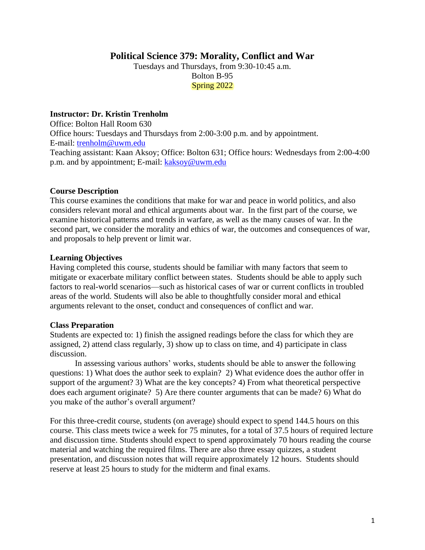# **Political Science 379: Morality, Conflict and War**

Tuesdays and Thursdays, from 9:30-10:45 a.m. Bolton B-95 Spring 2022

#### **Instructor: Dr. Kristin Trenholm**

Office: Bolton Hall Room 630 Office hours: Tuesdays and Thursdays from 2:00-3:00 p.m. and by appointment. E-mail: [trenholm@uwm.edu](mailto:trenholm@uwm.edu) Teaching assistant: Kaan Aksoy; Office: Bolton 631; Office hours: Wednesdays from 2:00-4:00 p.m. and by appointment; E-mail: [kaksoy@uwm.edu](mailto:kaksoy@uwm.edu)

#### **Course Description**

This course examines the conditions that make for war and peace in world politics, and also considers relevant moral and ethical arguments about war. In the first part of the course, we examine historical patterns and trends in warfare, as well as the many causes of war. In the second part, we consider the morality and ethics of war, the outcomes and consequences of war, and proposals to help prevent or limit war.

#### **Learning Objectives**

Having completed this course, students should be familiar with many factors that seem to mitigate or exacerbate military conflict between states. Students should be able to apply such factors to real-world scenarios—such as historical cases of war or current conflicts in troubled areas of the world. Students will also be able to thoughtfully consider moral and ethical arguments relevant to the onset, conduct and consequences of conflict and war.

#### **Class Preparation**

Students are expected to: 1) finish the assigned readings before the class for which they are assigned, 2) attend class regularly, 3) show up to class on time, and 4) participate in class discussion.

In assessing various authors' works, students should be able to answer the following questions: 1) What does the author seek to explain? 2) What evidence does the author offer in support of the argument? 3) What are the key concepts? 4) From what theoretical perspective does each argument originate? 5) Are there counter arguments that can be made? 6) What do you make of the author's overall argument?

For this three-credit course, students (on average) should expect to spend 144.5 hours on this course. This class meets twice a week for 75 minutes, for a total of 37.5 hours of required lecture and discussion time. Students should expect to spend approximately 70 hours reading the course material and watching the required films. There are also three essay quizzes, a student presentation, and discussion notes that will require approximately 12 hours. Students should reserve at least 25 hours to study for the midterm and final exams.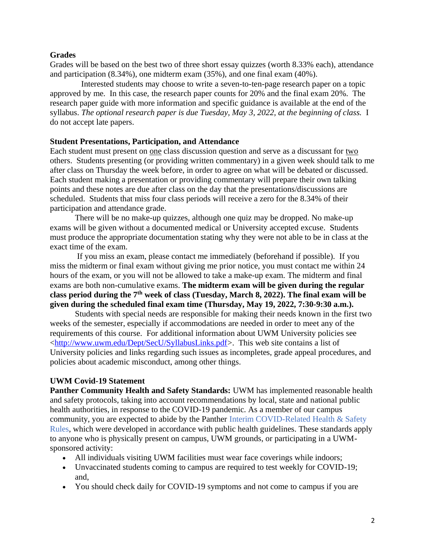### **Grades**

Grades will be based on the best two of three short essay quizzes (worth 8.33% each), attendance and participation (8.34%), one midterm exam (35%), and one final exam (40%).

Interested students may choose to write a seven-to-ten-page research paper on a topic approved by me. In this case, the research paper counts for 20% and the final exam 20%. The research paper guide with more information and specific guidance is available at the end of the syllabus. *The optional research paper is due Tuesday, May 3, 2022, at the beginning of class.* I do not accept late papers.

### **Student Presentations, Participation, and Attendance**

Each student must present on one class discussion question and serve as a discussant for two others. Students presenting (or providing written commentary) in a given week should talk to me after class on Thursday the week before, in order to agree on what will be debated or discussed. Each student making a presentation or providing commentary will prepare their own talking points and these notes are due after class on the day that the presentations/discussions are scheduled. Students that miss four class periods will receive a zero for the 8.34% of their participation and attendance grade.

 There will be no make-up quizzes, although one quiz may be dropped. No make-up exams will be given without a documented medical or University accepted excuse. Students must produce the appropriate documentation stating why they were not able to be in class at the exact time of the exam.

If you miss an exam, please contact me immediately (beforehand if possible).If you miss the midterm or final exam without giving me prior notice, you must contact me within 24 hours of the exam, or you will not be allowed to take a make-up exam. The midterm and final exams are both non-cumulative exams. **The midterm exam will be given during the regular class period during the 7th week of class (Tuesday, March 8, 2022). The final exam will be given during the scheduled final exam time (Thursday, May 19, 2022, 7:30-9:30 a.m.).**

Students with special needs are responsible for making their needs known in the first two weeks of the semester, especially if accommodations are needed in order to meet any of the requirements of this course. For additional information about UWM University policies see [<http://www.uwm.edu/Dept/SecU/SyllabusLinks.pdf>](http://www.uwm.edu/Dept/SecU/SyllabusLinks.pdf). This web site contains a list of University policies and links regarding such issues as incompletes, grade appeal procedures, and policies about academic misconduct, among other things.

### **UWM Covid-19 Statement**

**Panther Community Health and Safety Standards:** UWM has implemented reasonable health and safety protocols, taking into account recommendations by local, state and national public health authorities, in response to the COVID-19 pandemic. As a member of our campus community, you are expected to abide by the Panther Interim COVID-Related Health & Safety Rules, which were developed in accordance with public health guidelines. These standards apply to anyone who is physically present on campus, UWM grounds, or participating in a UWMsponsored activity:

- All individuals visiting UWM facilities must wear face coverings while indoors;
- Unvaccinated students coming to campus are required to test weekly for COVID-19; and,
- You should check daily for COVID-19 symptoms and not come to campus if you are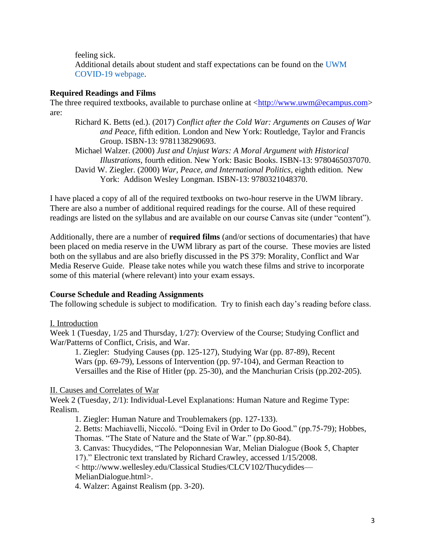feeling sick.

Additional details about student and staff expectations can be found on the UWM COVID-19 webpage.

# **Required Readings and Films**

The three required textbooks, available to purchase online at  $\langle \frac{http://www.uwm@ecampus.com>}{http://www.uwm@ecampus.com>}$ are:

- Richard K. Betts (ed.). (2017) *Conflict after the Cold War: Arguments on Causes of War and Peace,* fifth edition. London and New York: Routledge, Taylor and Francis Group. ISBN-13: 9781138290693.
- Michael Walzer. (2000) *Just and Unjust Wars: A Moral Argument with Historical Illustrations*, fourth edition. New York: Basic Books. ISBN-13: 9780465037070. David W. Ziegler. (2000) *War, Peace, and International Politics*, eighth edition. New York: Addison Wesley Longman. ISBN-13: 9780321048370.

I have placed a copy of all of the required textbooks on two-hour reserve in the UWM library. There are also a number of additional required readings for the course. All of these required readings are listed on the syllabus and are available on our course Canvas site (under "content").

Additionally, there are a number of **required films** (and/or sections of documentaries) that have been placed on media reserve in the UWM library as part of the course. These movies are listed both on the syllabus and are also briefly discussed in the PS 379: Morality, Conflict and War Media Reserve Guide. Please take notes while you watch these films and strive to incorporate some of this material (where relevant) into your exam essays.

# **Course Schedule and Reading Assignments**

The following schedule is subject to modification. Try to finish each day's reading before class.

# I. Introduction

Week 1 (Tuesday, 1/25 and Thursday, 1/27): Overview of the Course; Studying Conflict and War/Patterns of Conflict, Crisis, and War.

1. Ziegler: Studying Causes (pp. 125-127), Studying War (pp. 87-89), Recent Wars (pp. 69-79), Lessons of Intervention (pp. 97-104), and German Reaction to Versailles and the Rise of Hitler (pp. 25-30), and the Manchurian Crisis (pp.202-205).

### II. Causes and Correlates of War

Week 2 (Tuesday, 2/1): Individual-Level Explanations: Human Nature and Regime Type: Realism.

1. Ziegler: Human Nature and Troublemakers (pp. 127-133).

2. Betts: Machiavelli, Niccoló. "Doing Evil in Order to Do Good." (pp.75-79); Hobbes, Thomas. "The State of Nature and the State of War." (pp.80-84).

3. Canvas: Thucydides, "The Peloponnesian War, Melian Dialogue (Book 5, Chapter 17)." Electronic text translated by Richard Crawley, accessed 1/15/2008.

< [http://www.wellesley.edu/Classical Studies/CLCV102/Thucydides—](http://www.wellesley.edu/Classical%20Studies/CLCV102/Thucydides—MelianDialogue.html)

# [MelianDialogue.html>](http://www.wellesley.edu/Classical%20Studies/CLCV102/Thucydides—MelianDialogue.html).

4. Walzer: Against Realism (pp. 3-20).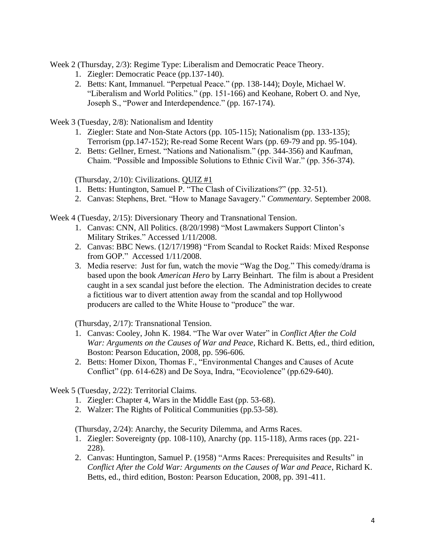Week 2 (Thursday, 2/3): Regime Type: Liberalism and Democratic Peace Theory.

- 1. Ziegler: Democratic Peace (pp.137-140).
- 2. Betts: Kant, Immanuel. "Perpetual Peace." (pp. 138-144); Doyle, Michael W. "Liberalism and World Politics." (pp. 151-166) and Keohane, Robert O. and Nye, Joseph S., "Power and Interdependence." (pp. 167-174).

Week 3 (Tuesday, 2/8): Nationalism and Identity

- 1. Ziegler: State and Non-State Actors (pp. 105-115); Nationalism (pp. 133-135); Terrorism (pp.147-152); Re-read Some Recent Wars (pp. 69-79 and pp. 95-104).
- 2. Betts: Gellner, Ernest. "Nations and Nationalism." (pp. 344-356) and Kaufman, Chaim. "Possible and Impossible Solutions to Ethnic Civil War." (pp. 356-374).

(Thursday, 2/10): Civilizations. QUIZ #1

- 1. Betts: Huntington, Samuel P. "The Clash of Civilizations?" (pp. 32-51).
- 2. Canvas: Stephens, Bret. "How to Manage Savagery." *Commentary.* September 2008.

Week 4 (Tuesday, 2/15): Diversionary Theory and Transnational Tension.

- 1. Canvas: CNN, All Politics. (8/20/1998) "Most Lawmakers Support Clinton's Military Strikes." Accessed 1/11/2008.
- 2. Canvas: BBC News. (12/17/1998) "From Scandal to Rocket Raids: Mixed Response from GOP." Accessed 1/11/2008.
- 3. Media reserve: Just for fun, watch the movie "Wag the Dog." This comedy/drama is based upon the book *American Hero* by Larry Beinhart. The film is about a President caught in a sex scandal just before the election. The Administration decides to create a fictitious war to divert attention away from the scandal and top Hollywood producers are called to the White House to "produce" the war.

(Thursday, 2/17): Transnational Tension.

- 1. Canvas: Cooley, John K. 1984. "The War over Water" in *Conflict After the Cold War: Arguments on the Causes of War and Peace*, Richard K. Betts, ed., third edition, Boston: Pearson Education, 2008, pp. 596-606.
- 2. Betts: Homer Dixon, Thomas F., "Environmental Changes and Causes of Acute Conflict" (pp. 614-628) and De Soya, Indra, "Ecoviolence" (pp.629-640).

Week 5 (Tuesday, 2/22): Territorial Claims.

- 1. Ziegler: Chapter 4, Wars in the Middle East (pp. 53-68).
- 2. Walzer: The Rights of Political Communities (pp.53-58).

(Thursday, 2/24): Anarchy, the Security Dilemma, and Arms Races.

- 1. Ziegler: Sovereignty (pp. 108-110), Anarchy (pp. 115-118), Arms races (pp. 221- 228).
- 2. Canvas: Huntington, Samuel P. (1958) "Arms Races: Prerequisites and Results" in *Conflict After the Cold War: Arguments on the Causes of War and Peace*, Richard K. Betts, ed., third edition, Boston: Pearson Education, 2008, pp. 391-411.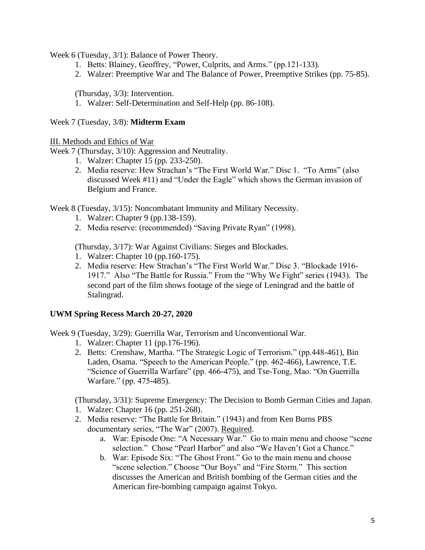Week 6 (Tuesday, 3/1): Balance of Power Theory.

- 1. Betts: Blainey, Geoffrey, "Power, Culprits, and Arms." (pp.121-133).
- 2. Walzer: Preemptive War and The Balance of Power, Preemptive Strikes (pp. 75-85).

(Thursday, 3/3): Intervention.

1. Walzer: Self-Determination and Self-Help (pp. 86-108).

Week 7 (Tuesday, 3/8): **Midterm Exam**

III. Methods and Ethics of War

Week 7 (Thursday, 3/10): Aggression and Neutrality.

- 1. Walzer: Chapter 15 (pp. 233-250).
- 2. Media reserve: Hew Strachan's "The First World War." Disc 1. "To Arms" (also discussed Week #11) and "Under the Eagle" which shows the German invasion of Belgium and France.

Week 8 (Tuesday, 3/15): Noncombatant Immunity and Military Necessity.

- 1. Walzer: Chapter 9 (pp.138-159).
- 2. Media reserve: (recommended) "Saving Private Ryan" (1998).

(Thursday, 3/17): War Against Civilians: Sieges and Blockades.

- 1. Walzer: Chapter 10 (pp.160-175).
- 2. Media reserve: Hew Strachan's "The First World War." Disc 3. "Blockade 1916- 1917." Also "The Battle for Russia." From the "Why We Fight" series (1943). The second part of the film shows footage of the siege of Leningrad and the battle of Stalingrad.

### **UWM Spring Recess March 20-27, 2020**

Week 9 (Tuesday, 3/29): Guerrilla War, Terrorism and Unconventional War.

- 1. Walzer: Chapter 11 (pp.176-196).
- 2. Betts: Crenshaw, Martha. "The Strategic Logic of Terrorism." (pp.448-461), Bin Laden, Osama. "Speech to the American People." (pp. 462-466), Lawrence, T.E. "Science of Guerrilla Warfare" (pp. 466-475), and Tse-Tong, Mao. "On Guerrilla Warfare." (pp. 475-485).

(Thursday, 3/31): Supreme Emergency: The Decision to Bomb German Cities and Japan. 1. Walzer: Chapter 16 (pp. 251-268).

- 2. Media reserve: "The Battle for Britain." (1943) and from Ken Burns PBS documentary series, "The War" (2007). Required.
	- a. War: Episode One: "A Necessary War." Go to main menu and choose "scene selection." Chose "Pearl Harbor" and also "We Haven't Got a Chance."
	- b. War: Episode Six: "The Ghost Front." Go to the main menu and choose "scene selection." Choose "Our Boys" and "Fire Storm." This section discusses the American and British bombing of the German cities and the American fire-bombing campaign against Tokyo.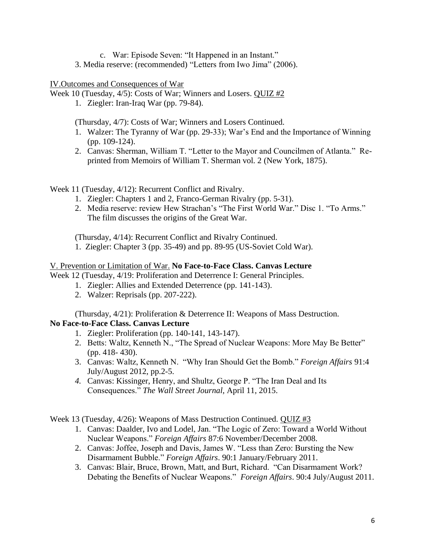- c. War: Episode Seven: "It Happened in an Instant."
- 3. Media reserve: (recommended) "Letters from Iwo Jima" (2006).

### IV.Outcomes and Consequences of War

Week 10 (Tuesday, 4/5): Costs of War; Winners and Losers. QUIZ #2

1. Ziegler: Iran-Iraq War (pp. 79-84).

(Thursday, 4/7): Costs of War; Winners and Losers Continued.

- 1. Walzer: The Tyranny of War (pp. 29-33); War's End and the Importance of Winning (pp. 109-124).
- 2. Canvas: Sherman, William T. "Letter to the Mayor and Councilmen of Atlanta." Reprinted from Memoirs of William T. Sherman vol. 2 (New York, 1875).

Week 11 (Tuesday, 4/12): Recurrent Conflict and Rivalry.

- 1. Ziegler: Chapters 1 and 2, Franco-German Rivalry (pp. 5-31).
- 2. Media reserve: review Hew Strachan's "The First World War." Disc 1. "To Arms." The film discusses the origins of the Great War.

(Thursday, 4/14): Recurrent Conflict and Rivalry Continued.

1. Ziegler: Chapter 3 (pp. 35-49) and pp. 89-95 (US-Soviet Cold War).

#### V. Prevention or Limitation of War. **No Face-to-Face Class. Canvas Lecture**

Week 12 (Tuesday, 4/19: Proliferation and Deterrence I: General Principles.

- 1. Ziegler: Allies and Extended Deterrence (pp. 141-143).
- 2. Walzer: Reprisals (pp. 207-222).

(Thursday, 4/21): Proliferation & Deterrence II: Weapons of Mass Destruction. **No Face-to-Face Class. Canvas Lecture**

- 1. Ziegler: Proliferation (pp. 140-141, 143-147).
- 2. Betts: Waltz, Kenneth N., "The Spread of Nuclear Weapons: More May Be Better" (pp. 418- 430).
- 3. Canvas: Waltz, Kenneth N. "Why Iran Should Get the Bomb." *Foreign Affairs* 91:4 July/August 2012, pp.2-5.
- *4.* Canvas: Kissinger, Henry, and Shultz, George P. "The Iran Deal and Its Consequences." *The Wall Street Journal*, April 11, 2015.

Week 13 (Tuesday, 4/26): Weapons of Mass Destruction Continued. QUIZ #3

- 1. Canvas: Daalder, Ivo and Lodel, Jan. "The Logic of Zero: Toward a World Without Nuclear Weapons." *Foreign Affairs* 87:6 November/December 2008.
- 2. Canvas: Joffee, Joseph and Davis, James W. "Less than Zero: Bursting the New Disarmament Bubble." *Foreign Affairs*. 90:1 January/February 2011.
- 3. Canvas: Blair, Bruce, Brown, Matt, and Burt, Richard. "Can Disarmament Work? Debating the Benefits of Nuclear Weapons." *Foreign Affairs*. 90:4 July/August 2011.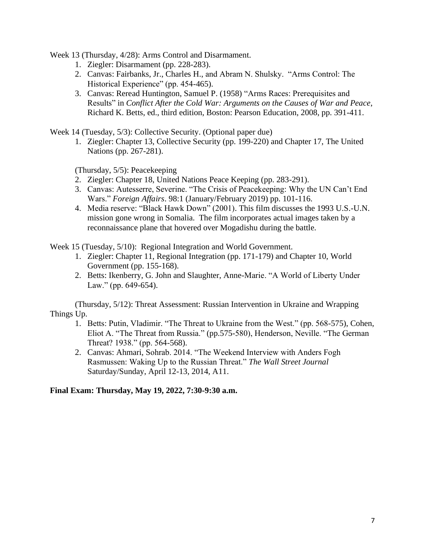Week 13 (Thursday, 4/28): Arms Control and Disarmament.

- 1. Ziegler: Disarmament (pp. 228-283).
- 2. Canvas: Fairbanks, Jr., Charles H., and Abram N. Shulsky. "Arms Control: The Historical Experience" (pp. 454-465).
- 3. Canvas: Reread Huntington, Samuel P. (1958) "Arms Races: Prerequisites and Results" in *Conflict After the Cold War: Arguments on the Causes of War and Peace*, Richard K. Betts, ed., third edition, Boston: Pearson Education, 2008, pp. 391-411.

Week 14 (Tuesday, 5/3): Collective Security. (Optional paper due)

1. Ziegler: Chapter 13, Collective Security (pp. 199-220) and Chapter 17, The United Nations (pp. 267-281).

(Thursday, 5/5): Peacekeeping

- 2. Ziegler: Chapter 18, United Nations Peace Keeping (pp. 283-291).
- 3. Canvas: Autesserre, Severine. "The Crisis of Peacekeeping: Why the UN Can't End Wars." *Foreign Affairs*. 98:1 (January/February 2019) pp. 101-116.
- 4. Media reserve: "Black Hawk Down" (2001). This film discusses the 1993 U.S.-U.N. mission gone wrong in Somalia. The film incorporates actual images taken by a reconnaissance plane that hovered over Mogadishu during the battle.

Week 15 (Tuesday, 5/10):Regional Integration and World Government.

- 1. Ziegler: Chapter 11, Regional Integration (pp. 171-179) and Chapter 10, World Government (pp. 155-168).
- 2. Betts: Ikenberry, G. John and Slaughter, Anne-Marie. "A World of Liberty Under Law." (pp. 649-654).

(Thursday, 5/12): Threat Assessment: Russian Intervention in Ukraine and Wrapping Things Up.

- 1. Betts: Putin, Vladimir. "The Threat to Ukraine from the West." (pp. 568-575), Cohen, Eliot A. "The Threat from Russia." (pp.575-580), Henderson, Neville. "The German Threat? 1938." (pp. 564-568).
- 2. Canvas: Ahmari, Sohrab. 2014. "The Weekend Interview with Anders Fogh Rasmussen: Waking Up to the Russian Threat." *The Wall Street Journal* Saturday/Sunday, April 12-13, 2014, A11.

# **Final Exam: Thursday, May 19, 2022, 7:30-9:30 a.m.**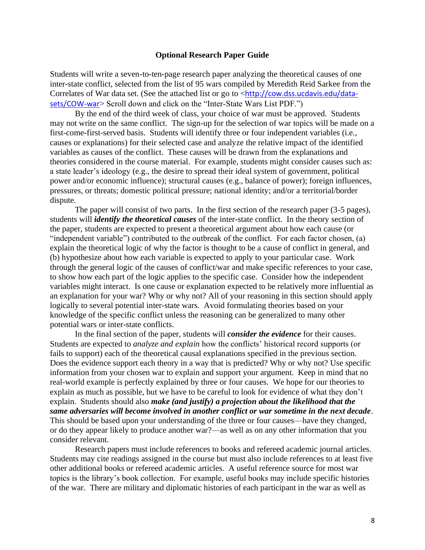#### **Optional Research Paper Guide**

Students will write a seven-to-ten-page research paper analyzing the theoretical causes of one inter-state conflict, selected from the list of 95 wars compiled by Meredith Reid Sarkee from the Correlates of War data set. (See the attached list or go to <[http://cow.dss.ucdavis.edu/data](http://cow.dss.ucdavis.edu/data-sets/COW-war)[sets/COW-war](http://cow.dss.ucdavis.edu/data-sets/COW-war)> Scroll down and click on the "Inter-State Wars List PDF.")

By the end of the third week of class, your choice of war must be approved. Students may not write on the same conflict. The sign-up for the selection of war topics will be made on a first-come-first-served basis. Students will identify three or four independent variables (i.e., causes or explanations) for their selected case and analyze the relative impact of the identified variables as causes of the conflict. These causes will be drawn from the explanations and theories considered in the course material. For example, students might consider causes such as: a state leader's ideology (e.g., the desire to spread their ideal system of government, political power and/or economic influence); structural causes (e.g., balance of power); foreign influences, pressures, or threats; domestic political pressure; national identity; and/or a territorial/border dispute.

The paper will consist of two parts. In the first section of the research paper (3-5 pages), students will *identify the theoretical causes* of the inter-state conflict. In the theory section of the paper, students are expected to present a theoretical argument about how each cause (or "independent variable") contributed to the outbreak of the conflict. For each factor chosen, (a) explain the theoretical logic of why the factor is thought to be a cause of conflict in general, and (b) hypothesize about how each variable is expected to apply to your particular case. Work through the general logic of the causes of conflict/war and make specific references to your case, to show how each part of the logic applies to the specific case. Consider how the independent variables might interact. Is one cause or explanation expected to be relatively more influential as an explanation for your war? Why or why not? All of your reasoning in this section should apply logically to several potential inter-state wars. Avoid formulating theories based on your knowledge of the specific conflict unless the reasoning can be generalized to many other potential wars or inter-state conflicts.

In the final section of the paper, students will *consider the evidence* for their causes. Students are expected to *analyze and explain* how the conflicts' historical record supports (or fails to support) each of the theoretical causal explanations specified in the previous section. Does the evidence support each theory in a way that is predicted? Why or why not? Use specific information from your chosen war to explain and support your argument. Keep in mind that no real-world example is perfectly explained by three or four causes. We hope for our theories to explain as much as possible, but we have to be careful to look for evidence of what they don't explain. Students should also *make (and justify) a projection about the likelihood that the same adversaries will become involved in another conflict or war sometime in the next decade*. This should be based upon your understanding of the three or four causes—have they changed, or do they appear likely to produce another war?—as well as on any other information that you consider relevant.

Research papers must include references to books and refereed academic journal articles. Students may cite readings assigned in the course but must also include references to at least five other additional books or refereed academic articles. A useful reference source for most war topics is the library's book collection. For example, useful books may include specific histories of the war. There are military and diplomatic histories of each participant in the war as well as